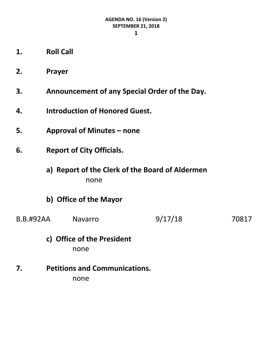**1**

- **1. Roll Call**
- **2. Prayer**
- **3. Announcement of any Special Order of the Day.**
- **4. Introduction of Honored Guest.**
- **5. Approval of Minutes – none**
- **6. Report of City Officials.**
	- **a) Report of the Clerk of the Board of Aldermen** none
	- **b) Office of the Mayor**
- B.B.#92AA Navarro 9/17/18 70817
	- **c) Office of the President** none
- **7. Petitions and Communications.** none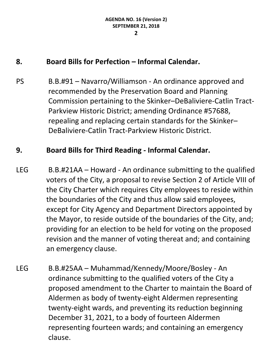# **8. Board Bills for Perfection – Informal Calendar.**

PS B.B.#91 – Navarro/Williamson - An ordinance approved and recommended by the Preservation Board and Planning Commission pertaining to the Skinker–DeBaliviere-Catlin Tract-Parkview Historic District; amending Ordinance #57688, repealing and replacing certain standards for the Skinker– DeBaliviere-Catlin Tract-Parkview Historic District.

### **9. Board Bills for Third Reading - Informal Calendar.**

- LEG B.B.#21AA Howard An ordinance submitting to the qualified voters of the City, a proposal to revise Section 2 of Article VIII of the City Charter which requires City employees to reside within the boundaries of the City and thus allow said employees, except for City Agency and Department Directors appointed by the Mayor, to reside outside of the boundaries of the City, and; providing for an election to be held for voting on the proposed revision and the manner of voting thereat and; and containing an emergency clause.
- LEG B.B.#25AA Muhammad/Kennedy/Moore/Bosley An ordinance submitting to the qualified voters of the City a proposed amendment to the Charter to maintain the Board of Aldermen as body of twenty-eight Aldermen representing twenty-eight wards, and preventing its reduction beginning December 31, 2021, to a body of fourteen Aldermen representing fourteen wards; and containing an emergency clause.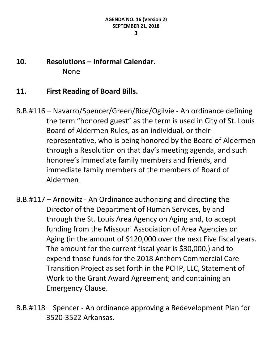**10. Resolutions – Informal Calendar.** None

### **11. First Reading of Board Bills.**

- B.B.#116 Navarro/Spencer/Green/Rice/Ogilvie An ordinance defining the term "honored guest" as the term is used in City of St. Louis Board of Aldermen Rules, as an individual, or their representative, who is being honored by the Board of Aldermen through a Resolution on that day's meeting agenda, and such honoree's immediate family members and friends, and immediate family members of the members of Board of Aldermen.
- B.B.#117 Arnowitz An Ordinance authorizing and directing the Director of the Department of Human Services, by and through the St. Louis Area Agency on Aging and, to accept funding from the Missouri Association of Area Agencies on Aging (in the amount of \$120,000 over the next Five fiscal years. The amount for the current fiscal year is \$30,000.) and to expend those funds for the 2018 Anthem Commercial Care Transition Project as set forth in the PCHP, LLC, Statement of Work to the Grant Award Agreement; and containing an Emergency Clause.

B.B.#118 – Spencer - An ordinance approving a Redevelopment Plan for 3520-3522 Arkansas.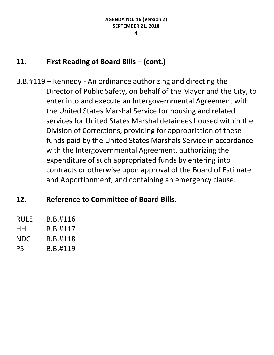# **11. First Reading of Board Bills – (cont.)**

B.B.#119 – Kennedy - An ordinance authorizing and directing the Director of Public Safety, on behalf of the Mayor and the City, to enter into and execute an Intergovernmental Agreement with the United States Marshal Service for housing and related services for United States Marshal detainees housed within the Division of Corrections, providing for appropriation of these funds paid by the United States Marshals Service in accordance with the Intergovernmental Agreement, authorizing the expenditure of such appropriated funds by entering into contracts or otherwise upon approval of the Board of Estimate and Apportionment, and containing an emergency clause.

# **12. Reference to Committee of Board Bills.**

| RULF | B.B.#116 |
|------|----------|
| HН   | B.B.#117 |
| NDC  | B.B.#118 |
| PS   | B.B.#119 |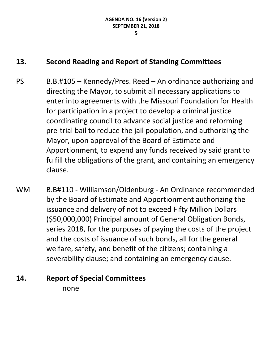## **13. Second Reading and Report of Standing Committees**

- PS B.B.#105 Kennedy/Pres. Reed An ordinance authorizing and directing the Mayor, to submit all necessary applications to enter into agreements with the Missouri Foundation for Health for participation in a project to develop a criminal justice coordinating council to advance social justice and reforming pre-trial bail to reduce the jail population, and authorizing the Mayor, upon approval of the Board of Estimate and Apportionment, to expend any funds received by said grant to fulfill the obligations of the grant, and containing an emergency clause.
- WM B.B#110 Williamson/Oldenburg An Ordinance recommended by the Board of Estimate and Apportionment authorizing the issuance and delivery of not to exceed Fifty Million Dollars (\$50,000,000) Principal amount of General Obligation Bonds, series 2018, for the purposes of paying the costs of the project and the costs of issuance of such bonds, all for the general welfare, safety, and benefit of the citizens; containing a severability clause; and containing an emergency clause.

#### **14. Report of Special Committees**

none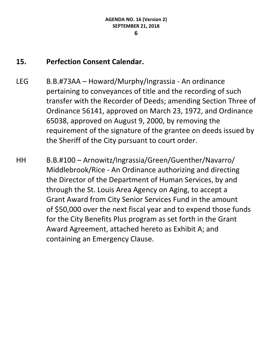# **15. Perfection Consent Calendar.**

- LEG B.B.#73AA Howard/Murphy/Ingrassia An ordinance pertaining to conveyances of title and the recording of such transfer with the Recorder of Deeds; amending Section Three of Ordinance 56141, approved on March 23, 1972, and Ordinance 65038, approved on August 9, 2000, by removing the requirement of the signature of the grantee on deeds issued by the Sheriff of the City pursuant to court order.
- HH B.B.#100 Arnowitz/Ingrassia/Green/Guenther/Navarro/ Middlebrook/Rice - An Ordinance authorizing and directing the Director of the Department of Human Services, by and through the St. Louis Area Agency on Aging, to accept a Grant Award from City Senior Services Fund in the amount of \$50,000 over the next fiscal year and to expend those funds for the City Benefits Plus program as set forth in the Grant Award Agreement, attached hereto as Exhibit A; and containing an Emergency Clause.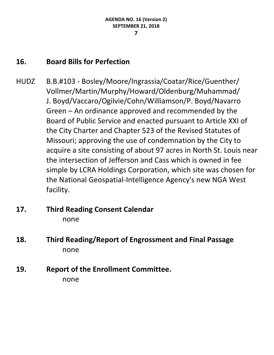# **16. Board Bills for Perfection**

- HUDZ B.B.#103 Bosley/Moore/Ingrassia/Coatar/Rice/Guenther/ Vollmer/Martin/Murphy/Howard/Oldenburg/Muhammad/ J. Boyd/Vaccaro/Ogilvie/Cohn/Williamson/P. Boyd/Navarro Green – An ordinance approved and recommended by the Board of Public Service and enacted pursuant to Article XXI of the City Charter and Chapter 523 of the Revised Statutes of Missouri; approving the use of condemnation by the City to acquire a site consisting of about 97 acres in North St. Louis near the intersection of Jefferson and Cass which is owned in fee simple by LCRA Holdings Corporation, which site was chosen for the National Geospatial-Intelligence Agency's new NGA West facility.
- **17. Third Reading Consent Calendar** none
- **18. Third Reading/Report of Engrossment and Final Passage** none
- **19. Report of the Enrollment Committee.** none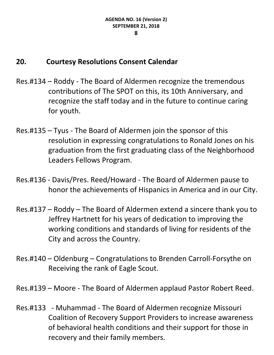# **20. Courtesy Resolutions Consent Calendar**

- Res.#134 Roddy The Board of Aldermen recognize the tremendous contributions of The SPOT on this, its 10th Anniversary, and recognize the staff today and in the future to continue caring for youth.
- Res.#135 Tyus The Board of Aldermen join the sponsor of this resolution in expressing congratulations to Ronald Jones on his graduation from the first graduating class of the Neighborhood Leaders Fellows Program.
- Res.#136 Davis/Pres. Reed/Howard The Board of Aldermen pause to honor the achievements of Hispanics in America and in our City.
- Res.#137 Roddy The Board of Aldermen extend a sincere thank you to Jeffrey Hartnett for his years of dedication to improving the working conditions and standards of living for residents of the City and across the Country.
- Res.#140 Oldenburg Congratulations to Brenden Carroll-Forsythe on Receiving the rank of Eagle Scout.
- Res.#139 Moore The Board of Aldermen applaud Pastor Robert Reed.
- Res.#133 Muhammad The Board of Aldermen recognize Missouri Coalition of Recovery Support Providers to increase awareness of behavioral health conditions and their support for those in recovery and their family members.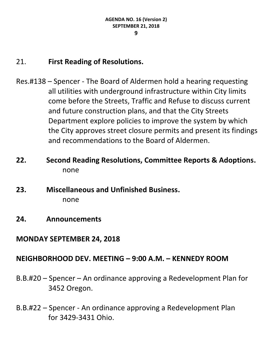# 21. **First Reading of Resolutions.**

- Res.#138 Spencer The Board of Aldermen hold a hearing requesting all utilities with underground infrastructure within City limits come before the Streets, Traffic and Refuse to discuss current and future construction plans, and that the City Streets Department explore policies to improve the system by which the City approves street closure permits and present its findings and recommendations to the Board of Aldermen.
- **22. Second Reading Resolutions, Committee Reports & Adoptions.** none
- **23. Miscellaneous and Unfinished Business.** none
- **24. Announcements**
- **MONDAY SEPTEMBER 24, 2018**

### **NEIGHBORHOOD DEV. MEETING – 9:00 A.M. – KENNEDY ROOM**

- B.B.#20 Spencer An ordinance approving a Redevelopment Plan for 3452 Oregon.
- B.B.#22 Spencer An ordinance approving a Redevelopment Plan for 3429-3431 Ohio.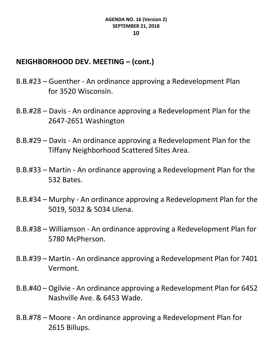# **NEIGHBORHOOD DEV. MEETING – (cont.)**

- B.B.#23 Guenther An ordinance approving a Redevelopment Plan for 3520 Wisconsin.
- B.B.#28 Davis An ordinance approving a Redevelopment Plan for the 2647-2651 Washington
- B.B.#29 Davis An ordinance approving a Redevelopment Plan for the Tiffany Neighborhood Scattered Sites Area.
- B.B.#33 Martin An ordinance approving a Redevelopment Plan for the 532 Bates.
- B.B.#34 Murphy An ordinance approving a Redevelopment Plan for the 5019, 5032 & 5034 Ulena.
- B.B.#38 Williamson An ordinance approving a Redevelopment Plan for 5780 McPherson.
- B.B.#39 Martin An ordinance approving a Redevelopment Plan for 7401 Vermont.
- B.B.#40 Ogilvie An ordinance approving a Redevelopment Plan for 6452 Nashville Ave. & 6453 Wade.
- B.B.#78 Moore An ordinance approving a Redevelopment Plan for 2615 Billups.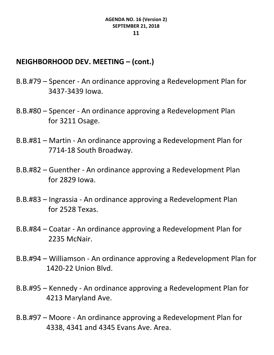## **NEIGHBORHOOD DEV. MEETING – (cont.)**

- B.B.#79 Spencer An ordinance approving a Redevelopment Plan for 3437-3439 Iowa.
- B.B.#80 Spencer An ordinance approving a Redevelopment Plan for 3211 Osage.
- B.B.#81 Martin An ordinance approving a Redevelopment Plan for 7714-18 South Broadway.
- B.B.#82 Guenther An ordinance approving a Redevelopment Plan for 2829 Iowa.
- B.B.#83 Ingrassia An ordinance approving a Redevelopment Plan for 2528 Texas.
- B.B.#84 Coatar An ordinance approving a Redevelopment Plan for 2235 McNair.
- B.B.#94 Williamson An ordinance approving a Redevelopment Plan for 1420-22 Union Blvd.
- B.B.#95 Kennedy An ordinance approving a Redevelopment Plan for 4213 Maryland Ave.
- B.B.#97 Moore An ordinance approving a Redevelopment Plan for 4338, 4341 and 4345 Evans Ave. Area.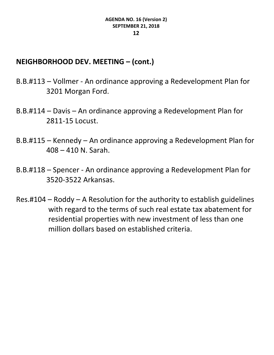# **NEIGHBORHOOD DEV. MEETING – (cont.)**

- B.B.#113 Vollmer An ordinance approving a Redevelopment Plan for 3201 Morgan Ford.
- B.B.#114 Davis An ordinance approving a Redevelopment Plan for 2811-15 Locust.
- B.B.#115 Kennedy An ordinance approving a Redevelopment Plan for 408 – 410 N. Sarah.
- B.B.#118 Spencer An ordinance approving a Redevelopment Plan for 3520-3522 Arkansas.
- Res.#104 Roddy A Resolution for the authority to establish guidelines with regard to the terms of such real estate tax abatement for residential properties with new investment of less than one million dollars based on established criteria.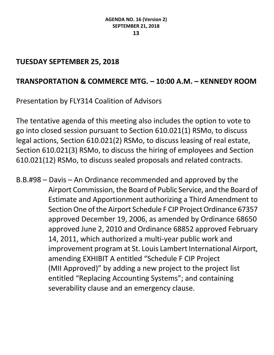# **TUESDAY SEPTEMBER 25, 2018**

# **TRANSPORTATION & COMMERCE MTG. – 10:00 A.M. – KENNEDY ROOM**

Presentation by FLY314 Coalition of Advisors

The tentative agenda of this meeting also includes the option to vote to go into closed session pursuant to Section 610.021(1) RSMo, to discuss legal actions, Section 610.021(2) RSMo, to discuss leasing of real estate, Section 610.021(3) RSMo, to discuss the hiring of employees and Section 610.021(12) RSMo, to discuss sealed proposals and related contracts.

B.B.#98 – Davis – An Ordinance recommended and approved by the Airport Commission, the Board of Public Service, and the Board of Estimate and Apportionment authorizing a Third Amendment to Section One of the Airport Schedule F CIP Project Ordinance 67357 approved December 19, 2006, as amended by Ordinance 68650 approved June 2, 2010 and Ordinance 68852 approved February 14, 2011, which authorized a multi-year public work and improvement program at St. Louis Lambert International Airport, amending EXHIBIT A entitled "Schedule F CIP Project (MII Approved)" by adding a new project to the project list entitled "Replacing Accounting Systems"; and containing severability clause and an emergency clause.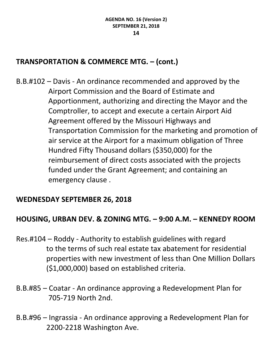# **TRANSPORTATION & COMMERCE MTG. – (cont.)**

B.B.#102 – Davis - An ordinance recommended and approved by the Airport Commission and the Board of Estimate and Apportionment, authorizing and directing the Mayor and the Comptroller, to accept and execute a certain Airport Aid Agreement offered by the Missouri Highways and Transportation Commission for the marketing and promotion of air service at the Airport for a maximum obligation of Three Hundred Fifty Thousand dollars (\$350,000) for the reimbursement of direct costs associated with the projects funded under the Grant Agreement; and containing an emergency clause .

### **WEDNESDAY SEPTEMBER 26, 2018**

# **HOUSING, URBAN DEV. & ZONING MTG. – 9:00 A.M. – KENNEDY ROOM**

- Res.#104 Roddy Authority to establish guidelines with regard to the terms of such real estate tax abatement for residential properties with new investment of less than One Million Dollars (\$1,000,000) based on established criteria.
- B.B.#85 Coatar An ordinance approving a Redevelopment Plan for 705-719 North 2nd.
- B.B.#96 Ingrassia An ordinance approving a Redevelopment Plan for 2200-2218 Washington Ave.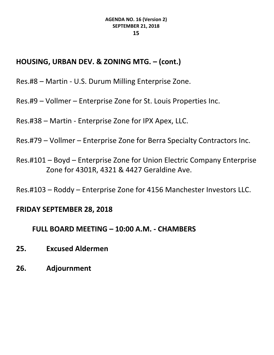# **HOUSING, URBAN DEV. & ZONING MTG. – (cont.)**

Res.#8 – Martin - U.S. Durum Milling Enterprise Zone.

Res.#9 – Vollmer – Enterprise Zone for St. Louis Properties Inc.

Res.#38 – Martin - Enterprise Zone for IPX Apex, LLC.

Res.#79 – Vollmer – Enterprise Zone for Berra Specialty Contractors Inc.

Res.#101 – Boyd – Enterprise Zone for Union Electric Company Enterprise Zone for 4301R, 4321 & 4427 Geraldine Ave.

Res.#103 – Roddy – Enterprise Zone for 4156 Manchester Investors LLC.

#### **FRIDAY SEPTEMBER 28, 2018**

#### **FULL BOARD MEETING – 10:00 A.M. - CHAMBERS**

- **25. Excused Aldermen**
- **26. Adjournment**